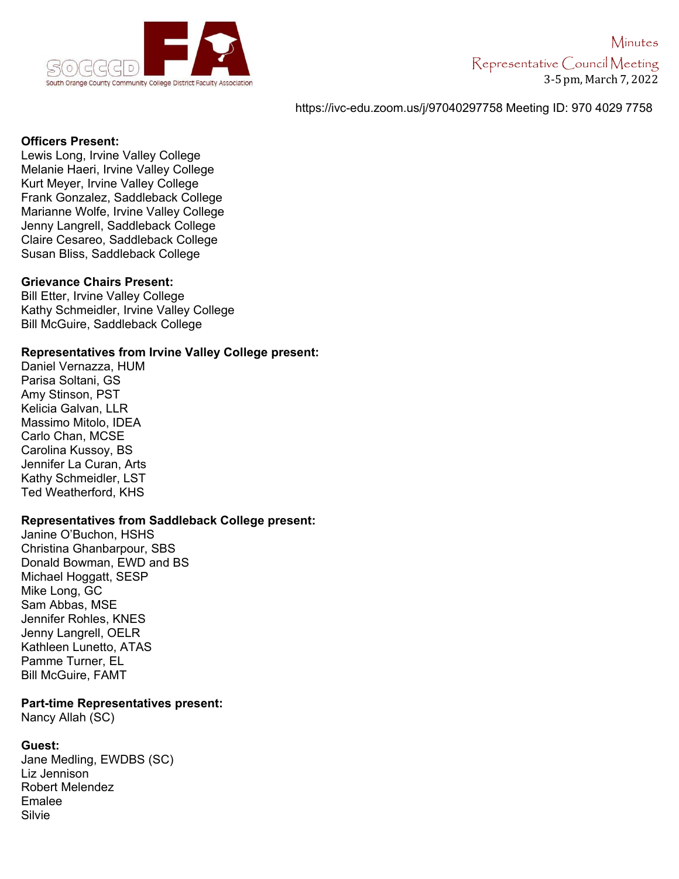

## https://ivc-edu.zoom.us/j/97040297758 Meeting ID: 970 4029 7758

#### **Officers Present:**

Lewis Long, Irvine Valley College Melanie Haeri, Irvine Valley College Kurt Meyer, Irvine Valley College Frank Gonzalez, Saddleback College Marianne Wolfe, Irvine Valley College Jenny Langrell, Saddleback College Claire Cesareo, Saddleback College Susan Bliss, Saddleback College

#### **Grievance Chairs Present:**

Bill Etter, Irvine Valley College Kathy Schmeidler, Irvine Valley College Bill McGuire, Saddleback College

## **Representatives from Irvine Valley College present:**

Daniel Vernazza, HUM Parisa Soltani, GS Amy Stinson, PST Kelicia Galvan, LLR Massimo Mitolo, IDEA Carlo Chan, MCSE Carolina Kussoy, BS Jennifer La Curan, Arts Kathy Schmeidler, LST Ted Weatherford, KHS

## **Representatives from Saddleback College present:**

Janine O'Buchon, HSHS Christina Ghanbarpour, SBS Donald Bowman, EWD and BS Michael Hoggatt, SESP Mike Long, GC Sam Abbas, MSE Jennifer Rohles, KNES Jenny Langrell, OELR Kathleen Lunetto, ATAS Pamme Turner, EL Bill McGuire, FAMT

#### **Part-time Representatives present:**

Nancy Allah (SC)

## **Guest:**

Jane Medling, EWDBS (SC) Liz Jennison Robert Melendez Emalee Silvie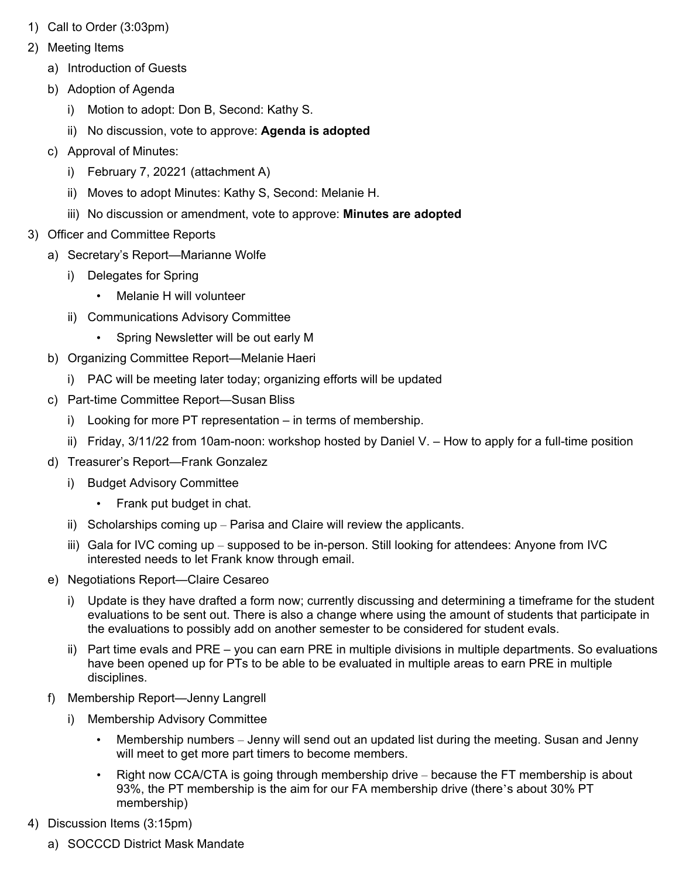- 1) Call to Order (3:03pm)
- 2) Meeting Items
	- a) Introduction of Guests
	- b) Adoption of Agenda
		- i) Motion to adopt: Don B, Second: Kathy S.
		- ii) No discussion, vote to approve: **Agenda is adopted**
	- c) Approval of Minutes:
		- i) February 7, 20221 (attachment A)
		- ii) Moves to adopt Minutes: Kathy S, Second: Melanie H.
		- iii) No discussion or amendment, vote to approve: **Minutes are adopted**
- 3) Officer and Committee Reports
	- a) Secretary's Report—Marianne Wolfe
		- i) Delegates for Spring
			- Melanie H will volunteer
		- ii) Communications Advisory Committee
			- Spring Newsletter will be out early M
	- b) Organizing Committee Report—Melanie Haeri
		- i) PAC will be meeting later today; organizing efforts will be updated
	- c) Part-time Committee Report—Susan Bliss
		- i) Looking for more PT representation in terms of membership.
		- ii) Friday, 3/11/22 from 10am-noon: workshop hosted by Daniel V. How to apply for a full-time position
	- d) Treasurer's Report—Frank Gonzalez
		- i) Budget Advisory Committee
			- Frank put budget in chat.
		- ii) Scholarships coming up Parisa and Claire will review the applicants.
		- iii) Gala for IVC coming up supposed to be in-person. Still looking for attendees: Anyone from IVC interested needs to let Frank know through email.
	- e) Negotiations Report—Claire Cesareo
		- i) Update is they have drafted a form now; currently discussing and determining a timeframe for the student evaluations to be sent out. There is also a change where using the amount of students that participate in the evaluations to possibly add on another semester to be considered for student evals.
		- ii) Part time evals and PRE you can earn PRE in multiple divisions in multiple departments. So evaluations have been opened up for PTs to be able to be evaluated in multiple areas to earn PRE in multiple disciplines.
	- f) Membership Report—Jenny Langrell
		- i) Membership Advisory Committee
			- Membership numbers Jenny will send out an updated list during the meeting. Susan and Jenny will meet to get more part timers to become members.
			- Right now CCA/CTA is going through membership drive because the FT membership is about 93%, the PT membership is the aim for our FA membership drive (there's about 30% PT membership)
- 4) Discussion Items (3:15pm)
	- a) SOCCCD District Mask Mandate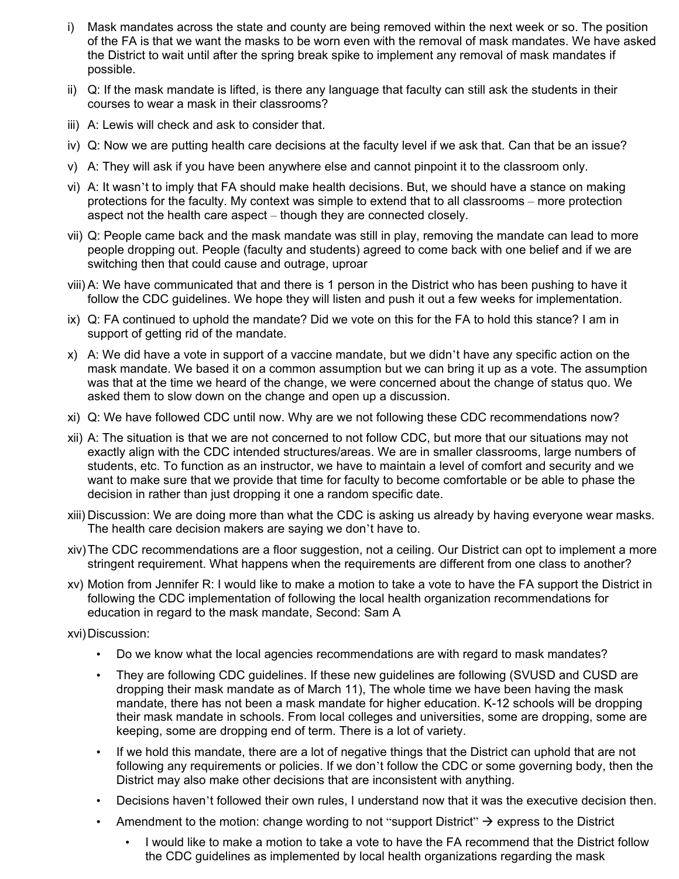- i) Mask mandates across the state and county are being removed within the next week or so. The position of the FA is that we want the masks to be worn even with the removal of mask mandates. We have asked the District to wait until after the spring break spike to implement any removal of mask mandates if possible.
- ii) Q: If the mask mandate is lifted, is there any language that faculty can still ask the students in their courses to wear a mask in their classrooms?
- iii) A: Lewis will check and ask to consider that.
- iv) Q: Now we are putting health care decisions at the faculty level if we ask that. Can that be an issue?
- v) A: They will ask if you have been anywhere else and cannot pinpoint it to the classroom only.
- vi) A: It wasn't to imply that FA should make health decisions. But, we should have a stance on making protections for the faculty. My context was simple to extend that to all classrooms – more protection aspect not the health care aspect – though they are connected closely.
- vii) Q: People came back and the mask mandate was still in play, removing the mandate can lead to more people dropping out. People (faculty and students) agreed to come back with one belief and if we are switching then that could cause and outrage, uproar
- viii) A: We have communicated that and there is 1 person in the District who has been pushing to have it follow the CDC guidelines. We hope they will listen and push it out a few weeks for implementation.
- ix) Q: FA continued to uphold the mandate? Did we vote on this for the FA to hold this stance? I am in support of getting rid of the mandate.
- x) A: We did have a vote in support of a vaccine mandate, but we didn't have any specific action on the mask mandate. We based it on a common assumption but we can bring it up as a vote. The assumption was that at the time we heard of the change, we were concerned about the change of status quo. We asked them to slow down on the change and open up a discussion.
- xi) Q: We have followed CDC until now. Why are we not following these CDC recommendations now?
- xii) A: The situation is that we are not concerned to not follow CDC, but more that our situations may not exactly align with the CDC intended structures/areas. We are in smaller classrooms, large numbers of students, etc. To function as an instructor, we have to maintain a level of comfort and security and we want to make sure that we provide that time for faculty to become comfortable or be able to phase the decision in rather than just dropping it one a random specific date.
- xiii) Discussion: We are doing more than what the CDC is asking us already by having everyone wear masks. The health care decision makers are saying we don't have to.
- xiv)The CDC recommendations are a floor suggestion, not a ceiling. Our District can opt to implement a more stringent requirement. What happens when the requirements are different from one class to another?
- xv) Motion from Jennifer R: I would like to make a motion to take a vote to have the FA support the District in following the CDC implementation of following the local health organization recommendations for education in regard to the mask mandate, Second: Sam A
- xvi)Discussion:
	- Do we know what the local agencies recommendations are with regard to mask mandates?
	- They are following CDC guidelines. If these new guidelines are following (SVUSD and CUSD are dropping their mask mandate as of March 11), The whole time we have been having the mask mandate, there has not been a mask mandate for higher education. K-12 schools will be dropping their mask mandate in schools. From local colleges and universities, some are dropping, some are keeping, some are dropping end of term. There is a lot of variety.
	- If we hold this mandate, there are a lot of negative things that the District can uphold that are not following any requirements or policies. If we don't follow the CDC or some governing body, then the District may also make other decisions that are inconsistent with anything.
	- Decisions haven't followed their own rules, I understand now that it was the executive decision then.
	- Amendment to the motion: change wording to not "support District"  $\rightarrow$  express to the District
		- I would like to make a motion to take a vote to have the FA recommend that the District follow the CDC guidelines as implemented by local health organizations regarding the mask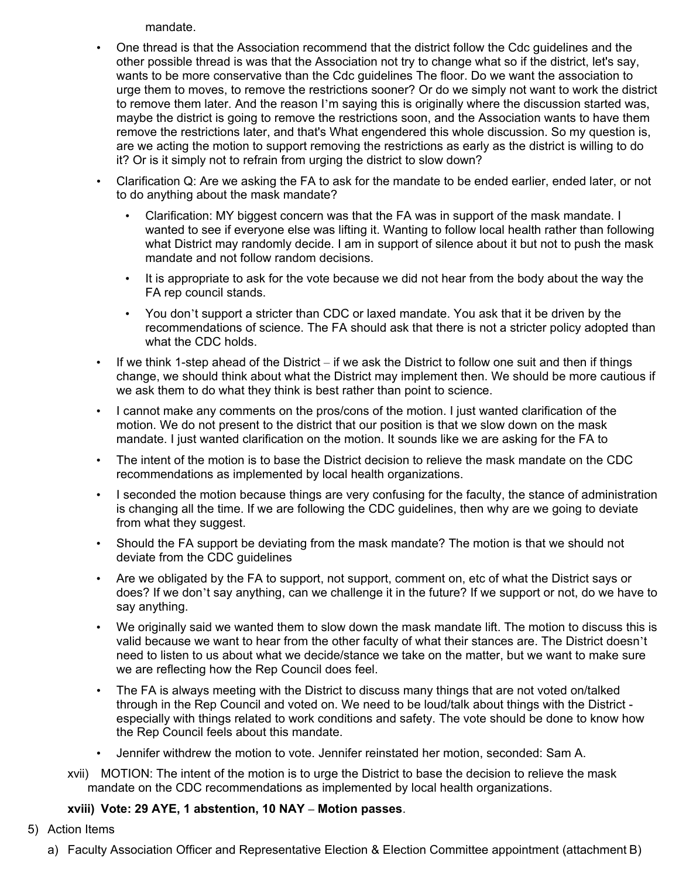mandate.

- One thread is that the Association recommend that the district follow the Cdc guidelines and the other possible thread is was that the Association not try to change what so if the district, let's say, wants to be more conservative than the Cdc guidelines The floor. Do we want the association to urge them to moves, to remove the restrictions sooner? Or do we simply not want to work the district to remove them later. And the reason I'm saying this is originally where the discussion started was, maybe the district is going to remove the restrictions soon, and the Association wants to have them remove the restrictions later, and that's What engendered this whole discussion. So my question is, are we acting the motion to support removing the restrictions as early as the district is willing to do it? Or is it simply not to refrain from urging the district to slow down?
- Clarification Q: Are we asking the FA to ask for the mandate to be ended earlier, ended later, or not to do anything about the mask mandate?
	- Clarification: MY biggest concern was that the FA was in support of the mask mandate. I wanted to see if everyone else was lifting it. Wanting to follow local health rather than following what District may randomly decide. I am in support of silence about it but not to push the mask mandate and not follow random decisions.
	- It is appropriate to ask for the vote because we did not hear from the body about the way the FA rep council stands.
	- You don't support a stricter than CDC or laxed mandate. You ask that it be driven by the recommendations of science. The FA should ask that there is not a stricter policy adopted than what the CDC holds.
- If we think 1-step ahead of the District if we ask the District to follow one suit and then if things change, we should think about what the District may implement then. We should be more cautious if we ask them to do what they think is best rather than point to science.
- I cannot make any comments on the pros/cons of the motion. I just wanted clarification of the motion. We do not present to the district that our position is that we slow down on the mask mandate. I just wanted clarification on the motion. It sounds like we are asking for the FA to
- The intent of the motion is to base the District decision to relieve the mask mandate on the CDC recommendations as implemented by local health organizations.
- I seconded the motion because things are very confusing for the faculty, the stance of administration is changing all the time. If we are following the CDC guidelines, then why are we going to deviate from what they suggest.
- Should the FA support be deviating from the mask mandate? The motion is that we should not deviate from the CDC guidelines
- Are we obligated by the FA to support, not support, comment on, etc of what the District says or does? If we don't say anything, can we challenge it in the future? If we support or not, do we have to say anything.
- We originally said we wanted them to slow down the mask mandate lift. The motion to discuss this is valid because we want to hear from the other faculty of what their stances are. The District doesn't need to listen to us about what we decide/stance we take on the matter, but we want to make sure we are reflecting how the Rep Council does feel.
- The FA is always meeting with the District to discuss many things that are not voted on/talked through in the Rep Council and voted on. We need to be loud/talk about things with the District especially with things related to work conditions and safety. The vote should be done to know how the Rep Council feels about this mandate.
- Jennifer withdrew the motion to vote. Jennifer reinstated her motion, seconded: Sam A.
- xvii) MOTION: The intent of the motion is to urge the District to base the decision to relieve the mask mandate on the CDC recommendations as implemented by local health organizations.

# **xviii) Vote: 29 AYE, 1 abstention, 10 NAY – Motion passes**.

- 5) Action Items
	- a) Faculty Association Officer and Representative Election & Election Committee appointment (attachment B)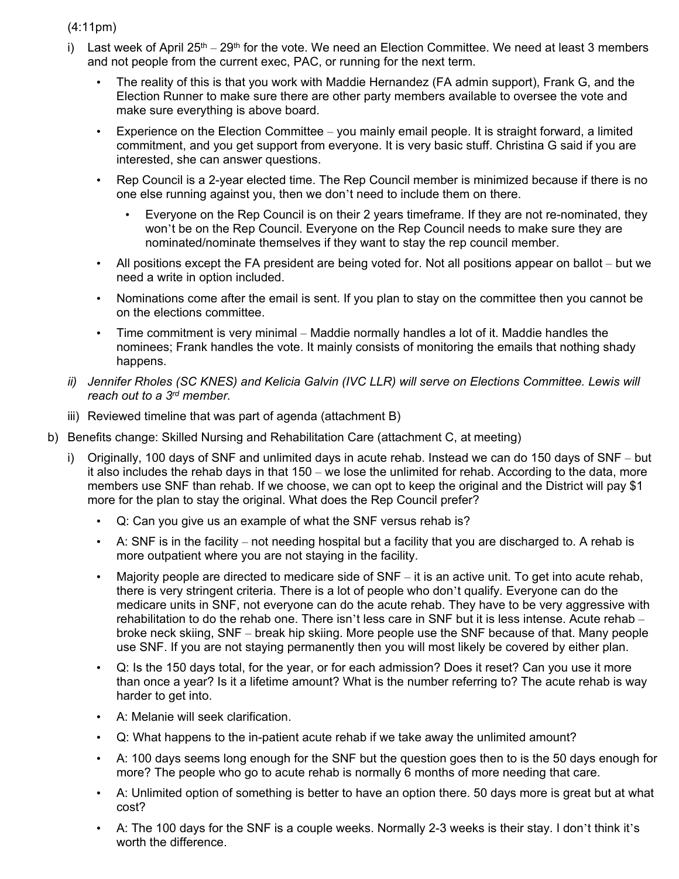(4:11pm)

- i) Last week of April  $25<sup>th</sup> 29<sup>th</sup>$  for the vote. We need an Election Committee. We need at least 3 members and not people from the current exec, PAC, or running for the next term.
	- The reality of this is that you work with Maddie Hernandez (FA admin support), Frank G, and the Election Runner to make sure there are other party members available to oversee the vote and make sure everything is above board.
	- Experience on the Election Committee  $-$  you mainly email people. It is straight forward, a limited commitment, and you get support from everyone. It is very basic stuff. Christina G said if you are interested, she can answer questions.
	- Rep Council is a 2-year elected time. The Rep Council member is minimized because if there is no one else running against you, then we don't need to include them on there.
		- Everyone on the Rep Council is on their 2 years timeframe. If they are not re-nominated, they won't be on the Rep Council. Everyone on the Rep Council needs to make sure they are nominated/nominate themselves if they want to stay the rep council member.
	- All positions except the FA president are being voted for. Not all positions appear on ballot but we need a write in option included.
	- Nominations come after the email is sent. If you plan to stay on the committee then you cannot be on the elections committee.
	- Time commitment is very minimal Maddie normally handles a lot of it. Maddie handles the nominees; Frank handles the vote. It mainly consists of monitoring the emails that nothing shady happens.
- *ii) Jennifer Rholes (SC KNES) and Kelicia Galvin (IVC LLR) will serve on Elections Committee. Lewis will reach out to a 3rd member.*
- iii) Reviewed timeline that was part of agenda (attachment B)
- b) Benefits change: Skilled Nursing and Rehabilitation Care (attachment C, at meeting)
	- i) Originally, 100 days of SNF and unlimited days in acute rehab. Instead we can do 150 days of SNF but it also includes the rehab days in that 150 – we lose the unlimited for rehab. According to the data, more members use SNF than rehab. If we choose, we can opt to keep the original and the District will pay \$1 more for the plan to stay the original. What does the Rep Council prefer?
		- Q: Can you give us an example of what the SNF versus rehab is?
		- A: SNF is in the facility not needing hospital but a facility that you are discharged to. A rehab is more outpatient where you are not staying in the facility.
		- Majority people are directed to medicare side of  $SNF it$  is an active unit. To get into acute rehab, there is very stringent criteria. There is a lot of people who don't qualify. Everyone can do the medicare units in SNF, not everyone can do the acute rehab. They have to be very aggressive with rehabilitation to do the rehab one. There isn't less care in SNF but it is less intense. Acute rehab – broke neck skiing, SNF – break hip skiing. More people use the SNF because of that. Many people use SNF. If you are not staying permanently then you will most likely be covered by either plan.
		- Q: Is the 150 days total, for the year, or for each admission? Does it reset? Can you use it more than once a year? Is it a lifetime amount? What is the number referring to? The acute rehab is way harder to get into.
		- A: Melanie will seek clarification.
		- Q: What happens to the in-patient acute rehab if we take away the unlimited amount?
		- A: 100 days seems long enough for the SNF but the question goes then to is the 50 days enough for more? The people who go to acute rehab is normally 6 months of more needing that care.
		- A: Unlimited option of something is better to have an option there. 50 days more is great but at what cost?
		- A: The 100 days for the SNF is a couple weeks. Normally 2-3 weeks is their stay. I don't think it's worth the difference.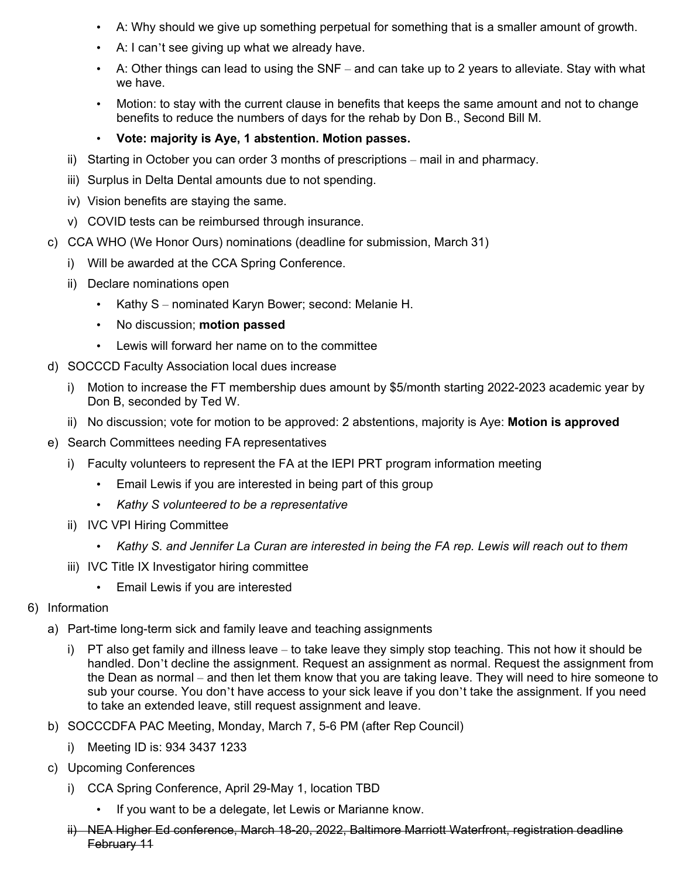- A: Why should we give up something perpetual for something that is a smaller amount of growth.
- A: I can't see giving up what we already have.
- A: Other things can lead to using the SNF and can take up to 2 years to alleviate. Stay with what we have.
- Motion: to stay with the current clause in benefits that keeps the same amount and not to change benefits to reduce the numbers of days for the rehab by Don B., Second Bill M.
- **Vote: majority is Aye, 1 abstention. Motion passes.**
- ii) Starting in October you can order 3 months of prescriptions mail in and pharmacy.
- iii) Surplus in Delta Dental amounts due to not spending.
- iv) Vision benefits are staying the same.
- v) COVID tests can be reimbursed through insurance.
- c) CCA WHO (We Honor Ours) nominations (deadline for submission, March 31)
	- i) Will be awarded at the CCA Spring Conference.
	- ii) Declare nominations open
		- Kathy S nominated Karyn Bower; second: Melanie H.
		- No discussion; **motion passed**
		- Lewis will forward her name on to the committee
- d) SOCCCD Faculty Association local dues increase
	- i) Motion to increase the FT membership dues amount by \$5/month starting 2022-2023 academic year by Don B, seconded by Ted W.
	- ii) No discussion; vote for motion to be approved: 2 abstentions, majority is Aye: **Motion is approved**
- e) Search Committees needing FA representatives
	- i) Faculty volunteers to represent the FA at the IEPI PRT program information meeting
		- Email Lewis if you are interested in being part of this group
		- *Kathy S volunteered to be a representative*
	- ii) IVC VPI Hiring Committee
		- *Kathy S. and Jennifer La Curan are interested in being the FA rep. Lewis will reach out to them*
	- iii) IVC Title IX Investigator hiring committee
		- Email Lewis if you are interested
- 6) Information
	- a) Part-time long-term sick and family leave and teaching assignments
		- i) PT also get family and illness leave to take leave they simply stop teaching. This not how it should be handled. Don't decline the assignment. Request an assignment as normal. Request the assignment from the Dean as normal – and then let them know that you are taking leave. They will need to hire someone to sub your course. You don't have access to your sick leave if you don't take the assignment. If you need to take an extended leave, still request assignment and leave.
	- b) SOCCCDFA PAC Meeting, Monday, March 7, 5-6 PM (after Rep Council)
		- i) Meeting ID is: 934 3437 1233
	- c) Upcoming Conferences
		- i) CCA Spring Conference, April 29-May 1, location TBD
			- If you want to be a delegate, let Lewis or Marianne know.
		- ii) NEA Higher Ed conference, March 18-20, 2022, Baltimore Marriott Waterfront, registration deadline February 11